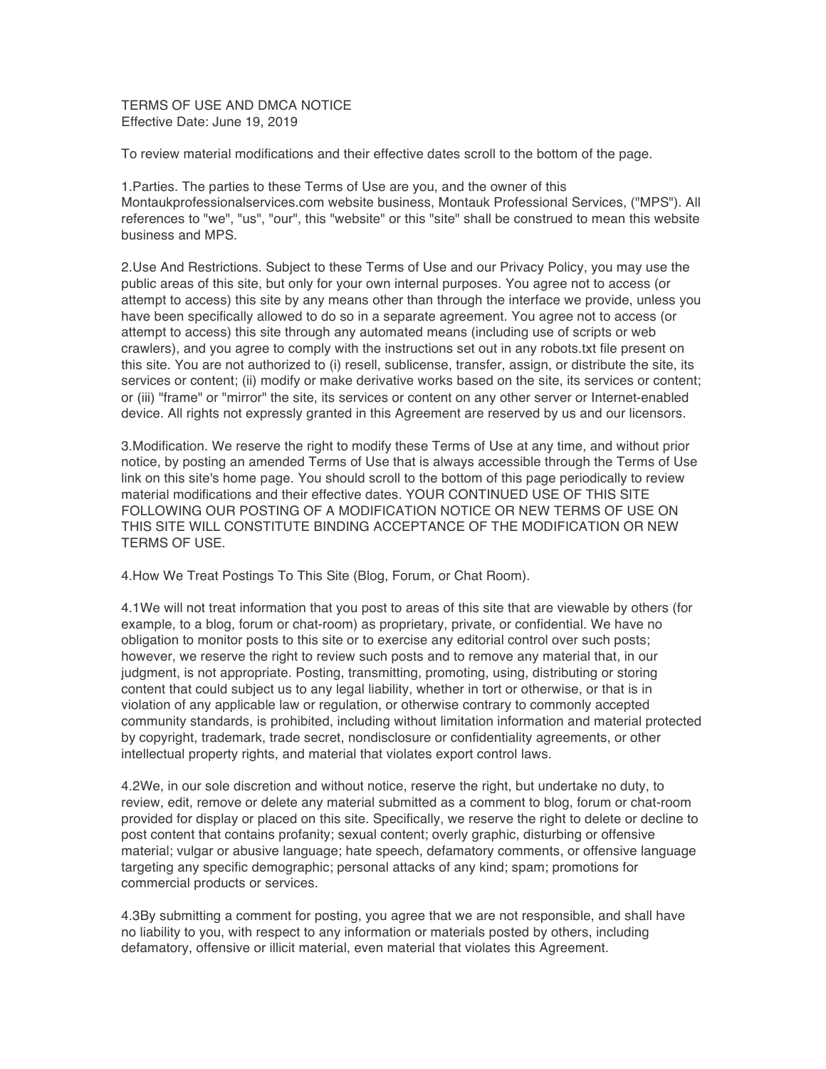TERMS OF USE AND DMCA NOTICE Effective Date: June 19, 2019

To review material modifications and their effective dates scroll to the bottom of the page.

1.Parties. The parties to these Terms of Use are you, and the owner of this Montaukprofessionalservices.com website business, Montauk Professional Services, ("MPS"). All references to "we", "us", "our", this "website" or this "site" shall be construed to mean this website business and MPS.

2.Use And Restrictions. Subject to these Terms of Use and our Privacy Policy, you may use the public areas of this site, but only for your own internal purposes. You agree not to access (or attempt to access) this site by any means other than through the interface we provide, unless you have been specifically allowed to do so in a separate agreement. You agree not to access (or attempt to access) this site through any automated means (including use of scripts or web crawlers), and you agree to comply with the instructions set out in any robots.txt file present on this site. You are not authorized to (i) resell, sublicense, transfer, assign, or distribute the site, its services or content; (ii) modify or make derivative works based on the site, its services or content; or (iii) "frame" or "mirror" the site, its services or content on any other server or Internet-enabled device. All rights not expressly granted in this Agreement are reserved by us and our licensors.

3.Modification. We reserve the right to modify these Terms of Use at any time, and without prior notice, by posting an amended Terms of Use that is always accessible through the Terms of Use link on this site's home page. You should scroll to the bottom of this page periodically to review material modifications and their effective dates. YOUR CONTINUED USE OF THIS SITE FOLLOWING OUR POSTING OF A MODIFICATION NOTICE OR NEW TERMS OF USE ON THIS SITE WILL CONSTITUTE BINDING ACCEPTANCE OF THE MODIFICATION OR NEW TERMS OF USE.

4.How We Treat Postings To This Site (Blog, Forum, or Chat Room).

4.1We will not treat information that you post to areas of this site that are viewable by others (for example, to a blog, forum or chat-room) as proprietary, private, or confidential. We have no obligation to monitor posts to this site or to exercise any editorial control over such posts; however, we reserve the right to review such posts and to remove any material that, in our judgment, is not appropriate. Posting, transmitting, promoting, using, distributing or storing content that could subject us to any legal liability, whether in tort or otherwise, or that is in violation of any applicable law or regulation, or otherwise contrary to commonly accepted community standards, is prohibited, including without limitation information and material protected by copyright, trademark, trade secret, nondisclosure or confidentiality agreements, or other intellectual property rights, and material that violates export control laws.

4.2We, in our sole discretion and without notice, reserve the right, but undertake no duty, to review, edit, remove or delete any material submitted as a comment to blog, forum or chat-room provided for display or placed on this site. Specifically, we reserve the right to delete or decline to post content that contains profanity; sexual content; overly graphic, disturbing or offensive material; vulgar or abusive language; hate speech, defamatory comments, or offensive language targeting any specific demographic; personal attacks of any kind; spam; promotions for commercial products or services.

4.3By submitting a comment for posting, you agree that we are not responsible, and shall have no liability to you, with respect to any information or materials posted by others, including defamatory, offensive or illicit material, even material that violates this Agreement.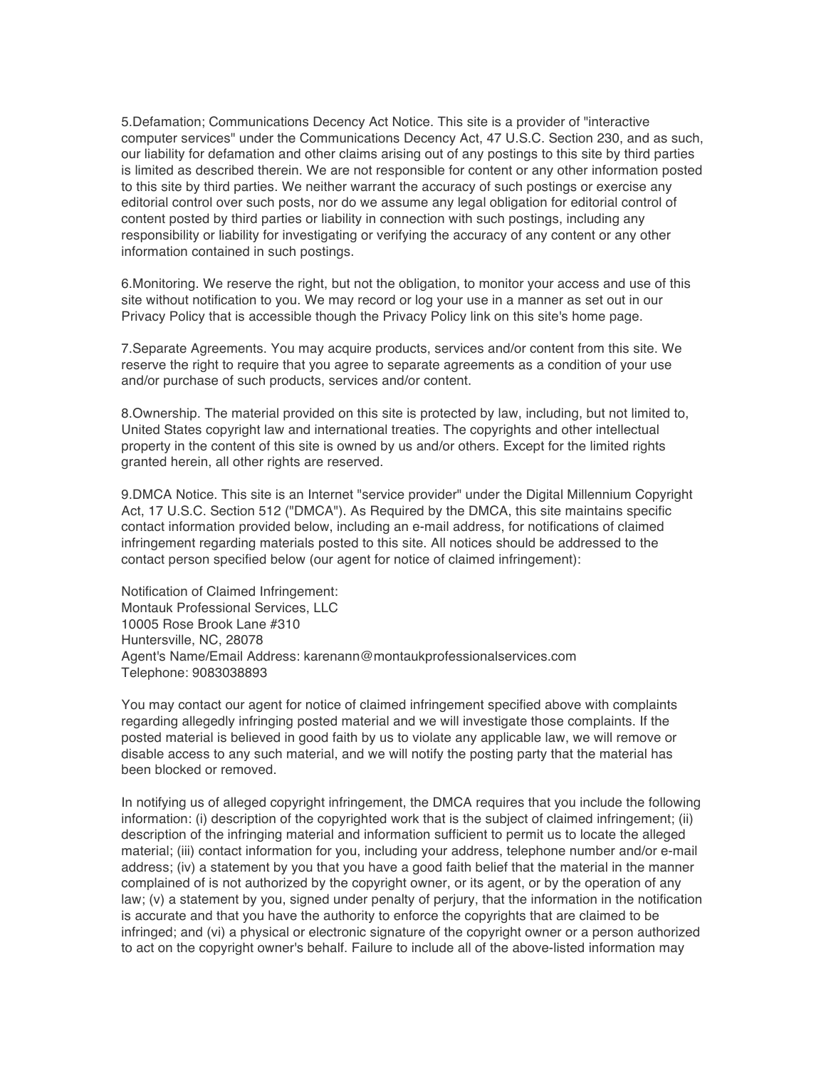5.Defamation; Communications Decency Act Notice. This site is a provider of "interactive computer services" under the Communications Decency Act, 47 U.S.C. Section 230, and as such, our liability for defamation and other claims arising out of any postings to this site by third parties is limited as described therein. We are not responsible for content or any other information posted to this site by third parties. We neither warrant the accuracy of such postings or exercise any editorial control over such posts, nor do we assume any legal obligation for editorial control of content posted by third parties or liability in connection with such postings, including any responsibility or liability for investigating or verifying the accuracy of any content or any other information contained in such postings.

6.Monitoring. We reserve the right, but not the obligation, to monitor your access and use of this site without notification to you. We may record or log your use in a manner as set out in our Privacy Policy that is accessible though the Privacy Policy link on this site's home page.

7.Separate Agreements. You may acquire products, services and/or content from this site. We reserve the right to require that you agree to separate agreements as a condition of your use and/or purchase of such products, services and/or content.

8.Ownership. The material provided on this site is protected by law, including, but not limited to, United States copyright law and international treaties. The copyrights and other intellectual property in the content of this site is owned by us and/or others. Except for the limited rights granted herein, all other rights are reserved.

9.DMCA Notice. This site is an Internet "service provider" under the Digital Millennium Copyright Act, 17 U.S.C. Section 512 ("DMCA"). As Required by the DMCA, this site maintains specific contact information provided below, including an e-mail address, for notifications of claimed infringement regarding materials posted to this site. All notices should be addressed to the contact person specified below (our agent for notice of claimed infringement):

Notification of Claimed Infringement: Montauk Professional Services, LLC 10005 Rose Brook Lane #310 Huntersville, NC, 28078 Agent's Name/Email Address: karenann@montaukprofessionalservices.com Telephone: 9083038893

You may contact our agent for notice of claimed infringement specified above with complaints regarding allegedly infringing posted material and we will investigate those complaints. If the posted material is believed in good faith by us to violate any applicable law, we will remove or disable access to any such material, and we will notify the posting party that the material has been blocked or removed.

In notifying us of alleged copyright infringement, the DMCA requires that you include the following information: (i) description of the copyrighted work that is the subject of claimed infringement; (ii) description of the infringing material and information sufficient to permit us to locate the alleged material; (iii) contact information for you, including your address, telephone number and/or e-mail address; (iv) a statement by you that you have a good faith belief that the material in the manner complained of is not authorized by the copyright owner, or its agent, or by the operation of any law; (v) a statement by you, signed under penalty of perjury, that the information in the notification is accurate and that you have the authority to enforce the copyrights that are claimed to be infringed; and (vi) a physical or electronic signature of the copyright owner or a person authorized to act on the copyright owner's behalf. Failure to include all of the above-listed information may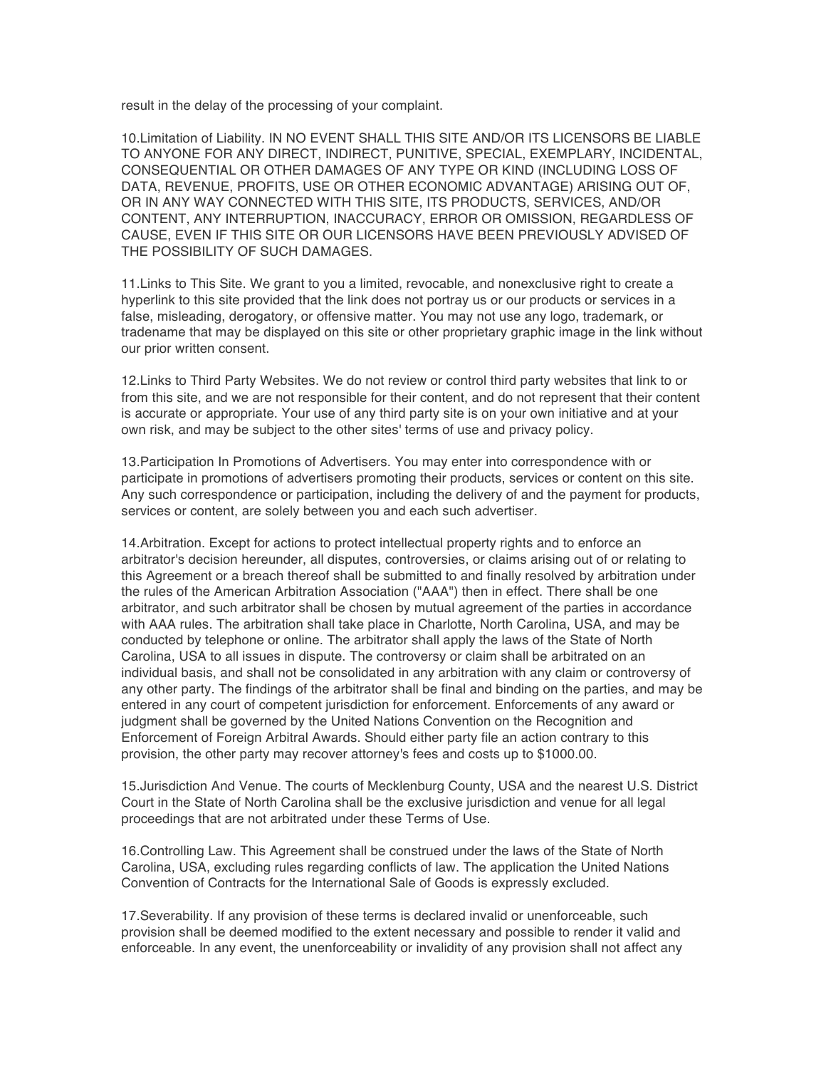result in the delay of the processing of your complaint.

10.Limitation of Liability. IN NO EVENT SHALL THIS SITE AND/OR ITS LICENSORS BE LIABLE TO ANYONE FOR ANY DIRECT, INDIRECT, PUNITIVE, SPECIAL, EXEMPLARY, INCIDENTAL, CONSEQUENTIAL OR OTHER DAMAGES OF ANY TYPE OR KIND (INCLUDING LOSS OF DATA, REVENUE, PROFITS, USE OR OTHER ECONOMIC ADVANTAGE) ARISING OUT OF, OR IN ANY WAY CONNECTED WITH THIS SITE, ITS PRODUCTS, SERVICES, AND/OR CONTENT, ANY INTERRUPTION, INACCURACY, ERROR OR OMISSION, REGARDLESS OF CAUSE, EVEN IF THIS SITE OR OUR LICENSORS HAVE BEEN PREVIOUSLY ADVISED OF THE POSSIBILITY OF SUCH DAMAGES.

11.Links to This Site. We grant to you a limited, revocable, and nonexclusive right to create a hyperlink to this site provided that the link does not portray us or our products or services in a false, misleading, derogatory, or offensive matter. You may not use any logo, trademark, or tradename that may be displayed on this site or other proprietary graphic image in the link without our prior written consent.

12.Links to Third Party Websites. We do not review or control third party websites that link to or from this site, and we are not responsible for their content, and do not represent that their content is accurate or appropriate. Your use of any third party site is on your own initiative and at your own risk, and may be subject to the other sites' terms of use and privacy policy.

13.Participation In Promotions of Advertisers. You may enter into correspondence with or participate in promotions of advertisers promoting their products, services or content on this site. Any such correspondence or participation, including the delivery of and the payment for products, services or content, are solely between you and each such advertiser.

14.Arbitration. Except for actions to protect intellectual property rights and to enforce an arbitrator's decision hereunder, all disputes, controversies, or claims arising out of or relating to this Agreement or a breach thereof shall be submitted to and finally resolved by arbitration under the rules of the American Arbitration Association ("AAA") then in effect. There shall be one arbitrator, and such arbitrator shall be chosen by mutual agreement of the parties in accordance with AAA rules. The arbitration shall take place in Charlotte, North Carolina, USA, and may be conducted by telephone or online. The arbitrator shall apply the laws of the State of North Carolina, USA to all issues in dispute. The controversy or claim shall be arbitrated on an individual basis, and shall not be consolidated in any arbitration with any claim or controversy of any other party. The findings of the arbitrator shall be final and binding on the parties, and may be entered in any court of competent jurisdiction for enforcement. Enforcements of any award or judgment shall be governed by the United Nations Convention on the Recognition and Enforcement of Foreign Arbitral Awards. Should either party file an action contrary to this provision, the other party may recover attorney's fees and costs up to \$1000.00.

15.Jurisdiction And Venue. The courts of Mecklenburg County, USA and the nearest U.S. District Court in the State of North Carolina shall be the exclusive jurisdiction and venue for all legal proceedings that are not arbitrated under these Terms of Use.

16.Controlling Law. This Agreement shall be construed under the laws of the State of North Carolina, USA, excluding rules regarding conflicts of law. The application the United Nations Convention of Contracts for the International Sale of Goods is expressly excluded.

17.Severability. If any provision of these terms is declared invalid or unenforceable, such provision shall be deemed modified to the extent necessary and possible to render it valid and enforceable. In any event, the unenforceability or invalidity of any provision shall not affect any